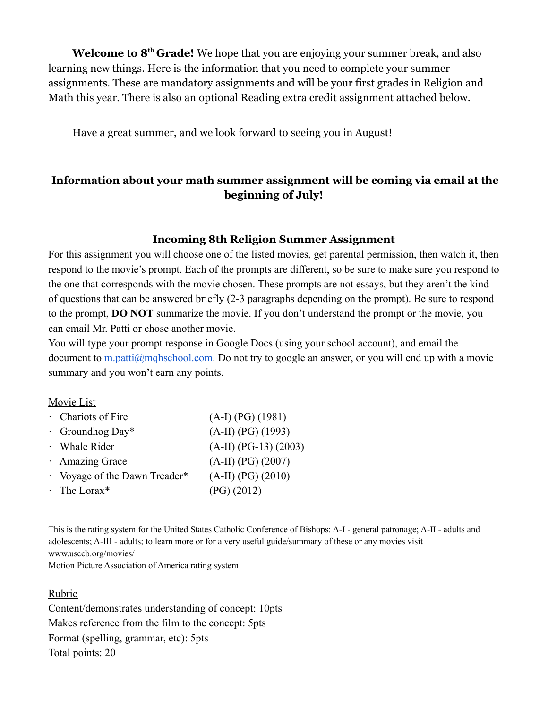**Welcome to 8th Grade!** We hope that you are enjoying your summer break, and also learning new things. Here is the information that you need to complete your summer assignments. These are mandatory assignments and will be your first grades in Religion and Math this year. There is also an optional Reading extra credit assignment attached below.

Have a great summer, and we look forward to seeing you in August!

## **Information about your math summer assignment will be coming via email at the beginning of July!**

#### **Incoming 8th Religion Summer Assignment**

For this assignment you will choose one of the listed movies, get parental permission, then watch it, then respond to the movie's prompt. Each of the prompts are different, so be sure to make sure you respond to the one that corresponds with the movie chosen. These prompts are not essays, but they aren't the kind of questions that can be answered briefly (2-3 paragraphs depending on the prompt). Be sure to respond to the prompt, **DO NOT** summarize the movie. If you don't understand the prompt or the movie, you can email Mr. Patti or chose another movie.

You will type your prompt response in Google Docs (using your school account), and email the document to [m.patti@mqhschool.com.](mailto:m.patti@mqhschool.com) Do not try to google an answer, or you will end up with a movie summary and you won't earn any points.

#### Movie List

| Chariots of Fire              | $(A-I) (PG) (1981)$     |
|-------------------------------|-------------------------|
| $\cdot$ Groundhog Day*        | $(A-II) (PG) (1993)$    |
| · Whale Rider                 | $(A-II) (PG-13) (2003)$ |
| · Amazing Grace               | $(A-II) (PG) (2007)$    |
| • Voyage of the Dawn Treader* | $(A-II) (PG) (2010)$    |
| $\cdot$ The Lorax*            | $(PG)$ (2012)           |

This is the rating system for the United States Catholic Conference of Bishops: A-I - general patronage; A-II - adults and adolescents; A-III - adults; to learn more or for a very useful guide/summary of these or any movies visit www.usccb.org/movies/

Motion Picture Association of America rating system

#### Rubric

Content/demonstrates understanding of concept: 10pts Makes reference from the film to the concept: 5pts Format (spelling, grammar, etc): 5pts Total points: 20